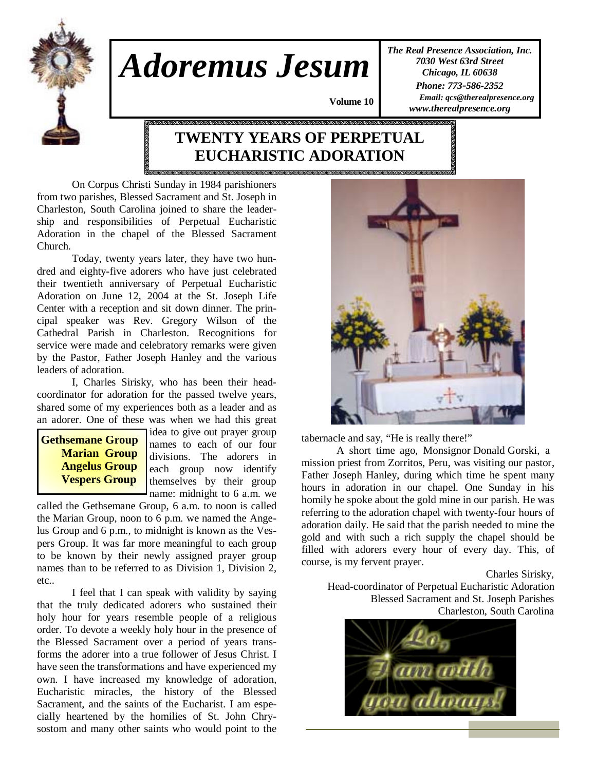

## *Adoremus Jesum*

 **Volume 10,**

*The Real Presence Association, Inc. 7030 West 63rd Street Chicago, IL 60638 Phone: 773-586-2352 Email: qcs@therealpresence.org www.therealpresence.org* 

## **TWENTY YEARS OF PERPETUAL EUCHARISTIC ADORATION**

 On Corpus Christi Sunday in 1984 parishioners from two parishes, Blessed Sacrament and St. Joseph in Charleston, South Carolina joined to share the leadership and responsibilities of Perpetual Eucharistic Adoration in the chapel of the Blessed Sacrament Church.

 Today, twenty years later, they have two hundred and eighty-five adorers who have just celebrated their twentieth anniversary of Perpetual Eucharistic Adoration on June 12, 2004 at the St. Joseph Life Center with a reception and sit down dinner. The principal speaker was Rev. Gregory Wilson of the Cathedral Parish in Charleston. Recognitions for service were made and celebratory remarks were given by the Pastor, Father Joseph Hanley and the various leaders of adoration.

 I, Charles Sirisky, who has been their headcoordinator for adoration for the passed twelve years, shared some of my experiences both as a leader and as an adorer. One of these was when we had this great



idea to give out prayer group names to each of our four divisions. The adorers in each group now identify themselves by their group name: midnight to 6 a.m. we

called the Gethsemane Group, 6 a.m. to noon is called the Marian Group, noon to 6 p.m. we named the Angelus Group and 6 p.m., to midnight is known as the Vespers Group. It was far more meaningful to each group to be known by their newly assigned prayer group names than to be referred to as Division 1, Division 2, etc..

 I feel that I can speak with validity by saying that the truly dedicated adorers who sustained their holy hour for years resemble people of a religious order. To devote a weekly holy hour in the presence of the Blessed Sacrament over a period of years transforms the adorer into a true follower of Jesus Christ. I have seen the transformations and have experienced my own. I have increased my knowledge of adoration, Eucharistic miracles, the history of the Blessed Sacrament, and the saints of the Eucharist. I am especially heartened by the homilies of St. John Chrysostom and many other saints who would point to the



tabernacle and say, "He is really there!"

 A short time ago, Monsignor Donald Gorski, a mission priest from Zorritos, Peru, was visiting our pastor, Father Joseph Hanley, during which time he spent many hours in adoration in our chapel. One Sunday in his homily he spoke about the gold mine in our parish. He was referring to the adoration chapel with twenty-four hours of adoration daily. He said that the parish needed to mine the gold and with such a rich supply the chapel should be filled with adorers every hour of every day. This, of course, is my fervent prayer.

Charles Sirisky, Head-coordinator of Perpetual Eucharistic Adoration Blessed Sacrament and St. Joseph Parishes Charleston, South Carolina